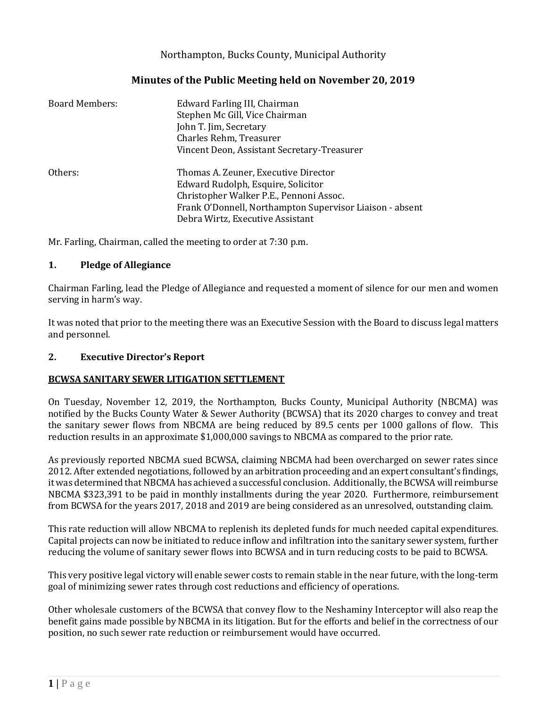## Northampton, Bucks County, Municipal Authority

## **Minutes of the Public Meeting held on November 20, 2019**

| Board Members: | Edward Farling III, Chairman<br>Stephen Mc Gill, Vice Chairman<br>John T. Jim, Secretary<br>Charles Rehm, Treasurer   |
|----------------|-----------------------------------------------------------------------------------------------------------------------|
|                | Vincent Deon, Assistant Secretary-Treasurer                                                                           |
| Others:        | Thomas A. Zeuner, Executive Director<br>Edward Rudolph, Esquire, Solicitor<br>Christopher Walker P.E., Pennoni Assoc. |
|                | Frank O'Donnell, Northampton Supervisor Liaison - absent<br>Debra Wirtz, Executive Assistant                          |

Mr. Farling, Chairman, called the meeting to order at 7:30 p.m.

## **1. Pledge of Allegiance**

Chairman Farling, lead the Pledge of Allegiance and requested a moment of silence for our men and women serving in harm's way.

It was noted that prior to the meeting there was an Executive Session with the Board to discuss legal matters and personnel.

## **2. Executive Director's Report**

## **BCWSA SANITARY SEWER LITIGATION SETTLEMENT**

On Tuesday, November 12, 2019, the Northampton, Bucks County, Municipal Authority (NBCMA) was notified by the Bucks County Water & Sewer Authority (BCWSA) that its 2020 charges to convey and treat the sanitary sewer flows from NBCMA are being reduced by 89.5 cents per 1000 gallons of flow. This reduction results in an approximate \$1,000,000 savings to NBCMA as compared to the prior rate.

As previously reported NBCMA sued BCWSA, claiming NBCMA had been overcharged on sewer rates since 2012. After extended negotiations, followed by an arbitration proceeding and an expert consultant's findings, it was determined that NBCMA has achieved a successful conclusion. Additionally, the BCWSA will reimburse NBCMA \$323,391 to be paid in monthly installments during the year 2020. Furthermore, reimbursement from BCWSA for the years 2017, 2018 and 2019 are being considered as an unresolved, outstanding claim.

This rate reduction will allow NBCMA to replenish its depleted funds for much needed capital expenditures. Capital projects can now be initiated to reduce inflow and infiltration into the sanitary sewer system, further reducing the volume of sanitary sewer flows into BCWSA and in turn reducing costs to be paid to BCWSA.

This very positive legal victory will enable sewer costs to remain stable in the near future, with the long-term goal of minimizing sewer rates through cost reductions and efficiency of operations.

Other wholesale customers of the BCWSA that convey flow to the Neshaminy Interceptor will also reap the benefit gains made possible by NBCMA in its litigation. But for the efforts and belief in the correctness of our position, no such sewer rate reduction or reimbursement would have occurred.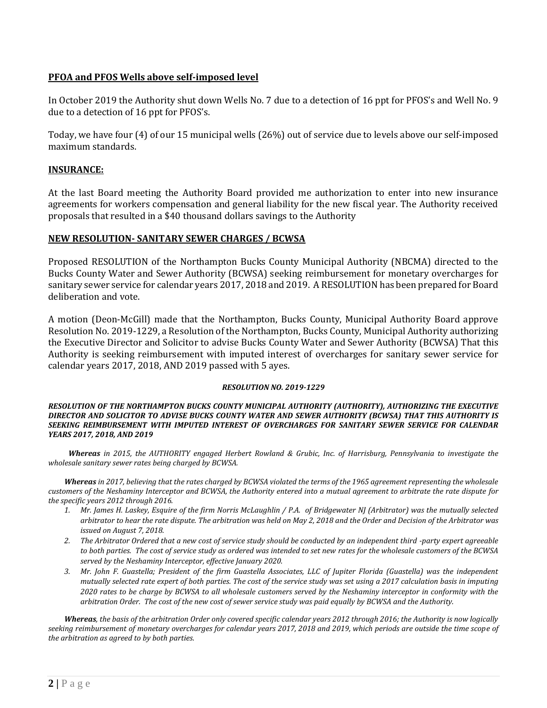## **PFOA and PFOS Wells above self-imposed level**

In October 2019 the Authority shut down Wells No. 7 due to a detection of 16 ppt for PFOS's and Well No. 9 due to a detection of 16 ppt for PFOS's.

Today, we have four (4) of our 15 municipal wells (26%) out of service due to levels above our self-imposed maximum standards.

#### **INSURANCE:**

At the last Board meeting the Authority Board provided me authorization to enter into new insurance agreements for workers compensation and general liability for the new fiscal year. The Authority received proposals that resulted in a \$40 thousand dollars savings to the Authority

#### **NEW RESOLUTION- SANITARY SEWER CHARGES / BCWSA**

Proposed RESOLUTION of the Northampton Bucks County Municipal Authority (NBCMA) directed to the Bucks County Water and Sewer Authority (BCWSA) seeking reimbursement for monetary overcharges for sanitary sewer service for calendar years 2017, 2018 and 2019. A RESOLUTION has been prepared for Board deliberation and vote.

A motion (Deon-McGill) made that the Northampton, Bucks County, Municipal Authority Board approve Resolution No. 2019-1229, a Resolution of the Northampton, Bucks County, Municipal Authority authorizing the Executive Director and Solicitor to advise Bucks County Water and Sewer Authority (BCWSA) That this Authority is seeking reimbursement with imputed interest of overcharges for sanitary sewer service for calendar years 2017, 2018, AND 2019 passed with 5 ayes.

#### *RESOLUTION NO. 2019-1229*

#### *RESOLUTION OF THE NORTHAMPTON BUCKS COUNTY MUNICIPAL AUTHORITY (AUTHORITY), AUTHORIZING THE EXECUTIVE DIRECTOR AND SOLICITOR TO ADVISE BUCKS COUNTY WATER AND SEWER AUTHORITY (BCWSA) THAT THIS AUTHORITY IS SEEKING REIMBURSEMENT WITH IMPUTED INTEREST OF OVERCHARGES FOR SANITARY SEWER SERVICE FOR CALENDAR YEARS 2017, 2018, AND 2019*

*Whereas in 2015, the AUTHORITY engaged Herbert Rowland & Grubic, Inc. of Harrisburg, Pennsylvania to investigate the wholesale sanitary sewer rates being charged by BCWSA.*

*Whereas in 2017, believing that the rates charged by BCWSA violated the terms of the 1965 agreement representing the wholesale customers of the Neshaminy Interceptor and BCWSA, the Authority entered into a mutual agreement to arbitrate the rate dispute for the specific years 2012 through 2016.* 

- *1. Mr. James H. Laskey, Esquire of the firm Norris McLaughlin / P.A. of Bridgewater NJ (Arbitrator) was the mutually selected arbitrator to hear the rate dispute. The arbitration was held on May 2, 2018 and the Order and Decision of the Arbitrator was issued on August 7, 2018.*
- *2. The Arbitrator Ordered that a new cost of service study should be conducted by an independent third -party expert agreeable to both parties. The cost of service study as ordered was intended to set new rates for the wholesale customers of the BCWSA served by the Neshaminy Interceptor, effective January 2020.*
- *3. Mr. John F. Guastella; President of the firm Guastella Associates, LLC of Jupiter Florida (Guastella) was the independent mutually selected rate expert of both parties. The cost of the service study was set using a 2017 calculation basis in imputing 2020 rates to be charge by BCWSA to all wholesale customers served by the Neshaminy interceptor in conformity with the arbitration Order. The cost of the new cost of sewer service study was paid equally by BCWSA and the Authority.*

*Whereas, the basis of the arbitration Order only covered specific calendar years 2012 through 2016; the Authority is now logically seeking reimbursement of monetary overcharges for calendar years 2017, 2018 and 2019, which periods are outside the time scope of the arbitration as agreed to by both parties.*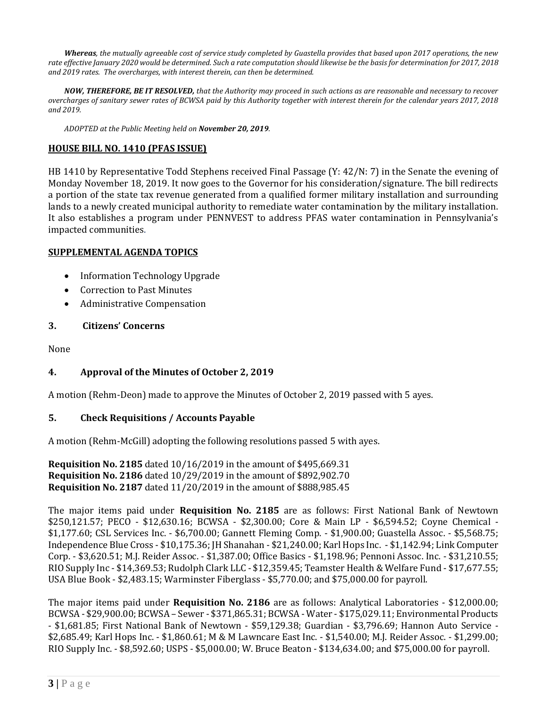*Whereas, the mutually agreeable cost of service study completed by Guastella provides that based upon 2017 operations, the new rate effective January 2020 would be determined. Such a rate computation should likewise be the basis for determination for 2017, 2018 and 2019 rates. The overcharges, with interest therein, can then be determined.* 

*NOW, THEREFORE, BE IT RESOLVED, that the Authority may proceed in such actions as are reasonable and necessary to recover overcharges of sanitary sewer rates of BCWSA paid by this Authority together with interest therein for the calendar years 2017, 2018 and 2019.*

*ADOPTED at the Public Meeting held on November 20, 2019.*

#### **HOUSE BILL NO. 1410 (PFAS ISSUE)**

HB 1410 by Representative Todd Stephens received Final Passage (Y: 42/N: 7) in the Senate the evening of Monday November 18, 2019. It now goes to the Governor for his consideration/signature. The bill redirects a portion of the state tax revenue generated from a qualified former military installation and surrounding lands to a newly created municipal authority to remediate water contamination by the military installation. It also establishes a program under PENNVEST to address PFAS water contamination in Pennsylvania's impacted communities.

#### **SUPPLEMENTAL AGENDA TOPICS**

- Information Technology Upgrade
- Correction to Past Minutes
- Administrative Compensation

## **3. Citizens' Concerns**

None

## **4. Approval of the Minutes of October 2, 2019**

A motion (Rehm-Deon) made to approve the Minutes of October 2, 2019 passed with 5 ayes.

## **5. Check Requisitions / Accounts Payable**

A motion (Rehm-McGill) adopting the following resolutions passed 5 with ayes.

**Requisition No. 2185** dated 10/16/2019 in the amount of \$495,669.31 **Requisition No. 2186** dated 10/29/2019 in the amount of \$892,902.70 **Requisition No. 2187** dated 11/20/2019 in the amount of \$888,985.45

The major items paid under **Requisition No. 2185** are as follows: First National Bank of Newtown \$250,121.57; PECO - \$12,630.16; BCWSA - \$2,300.00; Core & Main LP - \$6,594.52; Coyne Chemical - \$1,177.60; CSL Services Inc. - \$6,700.00; Gannett Fleming Comp. - \$1,900.00; Guastella Assoc. - \$5,568.75; Independence Blue Cross - \$10,175.36; JH Shanahan - \$21,240.00; Karl Hops Inc. - \$1,142.94; Link Computer Corp. - \$3,620.51; M.J. Reider Assoc. - \$1,387.00; Office Basics - \$1,198.96; Pennoni Assoc. Inc. - \$31,210.55; RIO Supply Inc - \$14,369.53; Rudolph Clark LLC - \$12,359.45; Teamster Health & Welfare Fund - \$17,677.55; USA Blue Book - \$2,483.15; Warminster Fiberglass - \$5,770.00; and \$75,000.00 for payroll.

The major items paid under **Requisition No. 2186** are as follows: Analytical Laboratories - \$12,000.00; BCWSA - \$29,900.00; BCWSA – Sewer - \$371,865.31; BCWSA - Water - \$175,029.11; Environmental Products - \$1,681.85; First National Bank of Newtown - \$59,129.38; Guardian - \$3,796.69; Hannon Auto Service - \$2,685.49; Karl Hops Inc. - \$1,860.61; M & M Lawncare East Inc. - \$1,540.00; M.J. Reider Assoc. - \$1,299.00; RIO Supply Inc. - \$8,592.60; USPS - \$5,000.00; W. Bruce Beaton - \$134,634.00; and \$75,000.00 for payroll.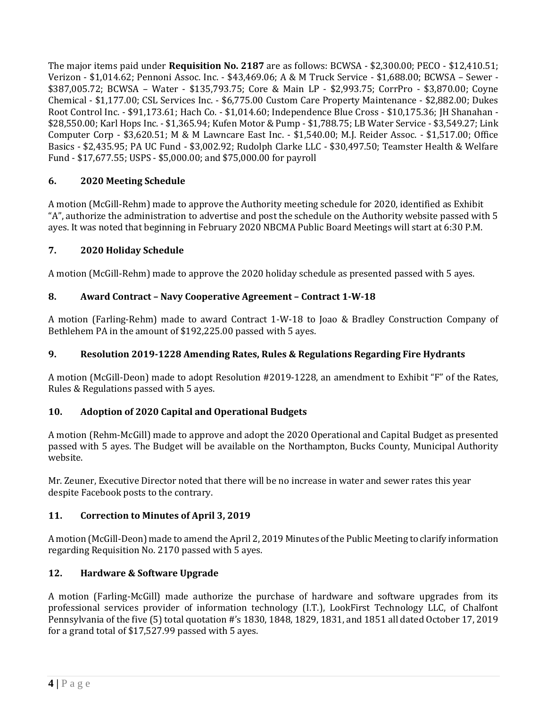The major items paid under **Requisition No. 2187** are as follows: BCWSA - \$2,300.00; PECO - \$12,410.51; Verizon - \$1,014.62; Pennoni Assoc. Inc. - \$43,469.06; A & M Truck Service - \$1,688.00; BCWSA – Sewer - \$387,005.72; BCWSA – Water - \$135,793.75; Core & Main LP - \$2,993.75; CorrPro - \$3,870.00; Coyne Chemical - \$1,177.00; CSL Services Inc. - \$6,775.00 Custom Care Property Maintenance - \$2,882.00; Dukes Root Control Inc. - \$91,173.61; Hach Co. - \$1,014.60; Independence Blue Cross - \$10,175.36; JH Shanahan - \$28,550.00; Karl Hops Inc. - \$1,365.94; Kufen Motor & Pump - \$1,788.75; LB Water Service - \$3,549.27; Link Computer Corp - \$3,620.51; M & M Lawncare East Inc. - \$1,540.00; M.J. Reider Assoc. - \$1,517.00; Office Basics - \$2,435.95; PA UC Fund - \$3,002.92; Rudolph Clarke LLC - \$30,497.50; Teamster Health & Welfare Fund - \$17,677.55; USPS - \$5,000.00; and \$75,000.00 for payroll

# **6. 2020 Meeting Schedule**

A motion (McGill-Rehm) made to approve the Authority meeting schedule for 2020, identified as Exhibit "A", authorize the administration to advertise and post the schedule on the Authority website passed with 5 ayes. It was noted that beginning in February 2020 NBCMA Public Board Meetings will start at 6:30 P.M.

## **7. 2020 Holiday Schedule**

A motion (McGill-Rehm) made to approve the 2020 holiday schedule as presented passed with 5 ayes.

## **8. Award Contract – Navy Cooperative Agreement – Contract 1-W-18**

A motion (Farling-Rehm) made to award Contract 1-W-18 to Joao & Bradley Construction Company of Bethlehem PA in the amount of \$192,225.00 passed with 5 ayes.

## **9. Resolution 2019-1228 Amending Rates, Rules & Regulations Regarding Fire Hydrants**

A motion (McGill-Deon) made to adopt Resolution #2019-1228, an amendment to Exhibit "F" of the Rates, Rules & Regulations passed with 5 ayes.

## **10. Adoption of 2020 Capital and Operational Budgets**

A motion (Rehm-McGill) made to approve and adopt the 2020 Operational and Capital Budget as presented passed with 5 ayes. The Budget will be available on the Northampton, Bucks County, Municipal Authority website.

Mr. Zeuner, Executive Director noted that there will be no increase in water and sewer rates this year despite Facebook posts to the contrary.

## **11. Correction to Minutes of April 3, 2019**

A motion (McGill-Deon) made to amend the April 2, 2019 Minutes of the Public Meeting to clarify information regarding Requisition No. 2170 passed with 5 ayes.

# **12. Hardware & Software Upgrade**

A motion (Farling-McGill) made authorize the purchase of hardware and software upgrades from its professional services provider of information technology (I.T.), LookFirst Technology LLC, of Chalfont Pennsylvania of the five (5) total quotation #'s 1830, 1848, 1829, 1831, and 1851 all dated October 17, 2019 for a grand total of \$17,527.99 passed with 5 ayes.